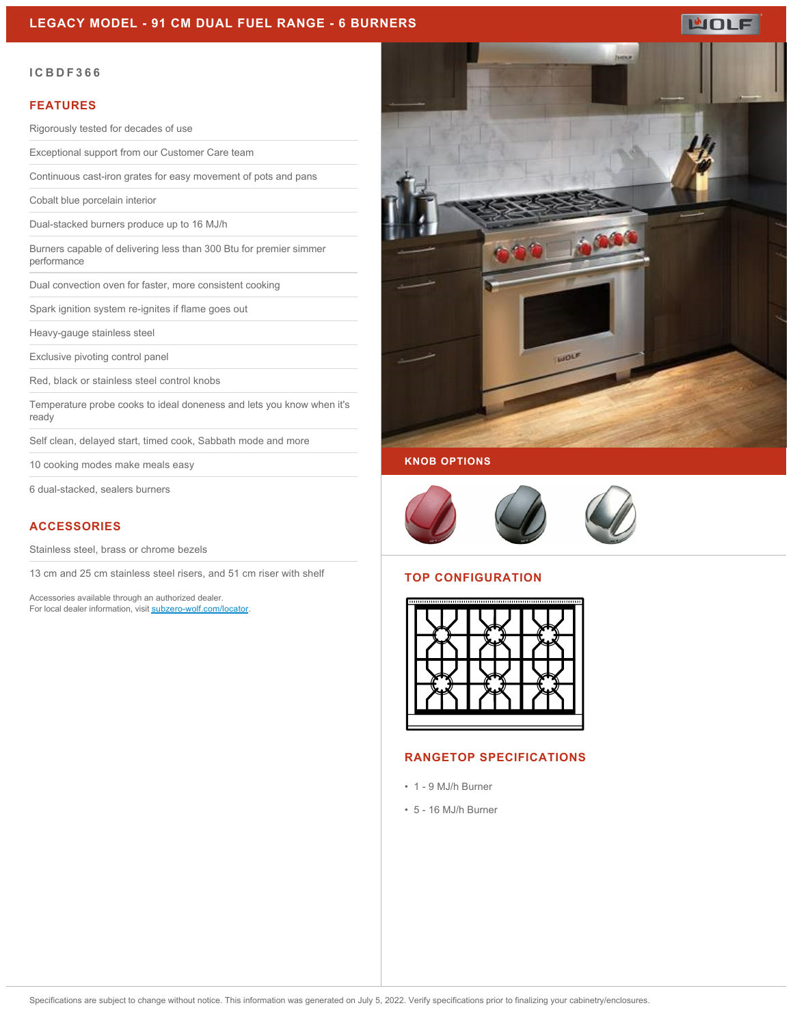# **LEGACY MODEL - 91 CM DUAL FUEL RANGE - 6 BURNERS**

**WOLF** 

#### **ICBDF366**

#### **FEATURES**

Rigorously tested for decades of use

Exceptional support from our Customer Care team

Continuous cast-iron grates for easy movement of pots and pans

Cobalt blue porcelain interior

Dual-stacked burners produce up to 16 MJ/h

Burners capable of delivering less than 300 Btu for premier simmer performance

Dual convection oven for faster, more consistent cooking

Spark ignition system re-ignites if flame goes out

Heavy-gauge stainless steel

Exclusive pivoting control panel

Red, black or stainless steel control knobs

Temperature probe cooks to ideal doneness and lets you know when it's ready

Self clean, delayed start, timed cook, Sabbath mode and more

10 cooking modes make meals easy

6 dual-stacked, sealers burners

### **ACCESSORIES**

Stainless steel, brass or chrome bezels

13 cm and 25 cm stainless steel risers, and 51 cm riser with shelf

Accessories available through an authorized dealer. For local dealer information, visit [subzero-wolf.com/locator.](http://www.subzero-wolf.com/locator)



# **KNOB OPTIONS**



# **TOP CONFIGURATION**



#### **RANGETOP SPECIFICATIONS**

- 1 9 MJ/h Burner
- 5 16 MJ/h Burner